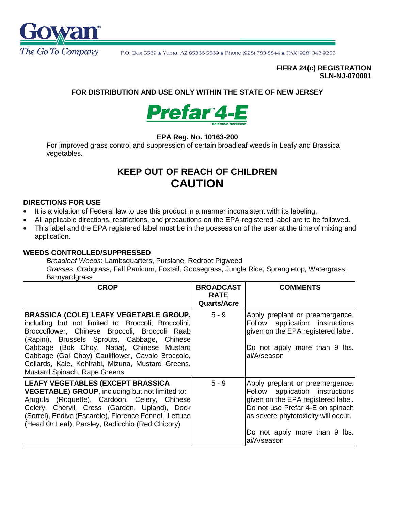

#### **FIFRA 24(c) REGISTRATION SLN-NJ-070001**

# **FOR DISTRIBUTION AND USE ONLY WITHIN THE STATE OF NEW JERSEY**



# **EPA Reg. No. 10163-200**

For improved grass control and suppression of certain broadleaf weeds in Leafy and Brassica vegetables.

# **KEEP OUT OF REACH OF CHILDREN CAUTION**

#### **DIRECTIONS FOR USE**

- It is a violation of Federal law to use this product in a manner inconsistent with its labeling.
- All applicable directions, restrictions, and precautions on the EPA-registered label are to be followed.
- This label and the EPA registered label must be in the possession of the user at the time of mixing and application.

#### **WEEDS CONTROLLED/SUPPRESSED**

*Broadleaf Weeds*: Lambsquarters, Purslane, Redroot Pigweed *Grasses*: Crabgrass, Fall Panicum, Foxtail, Goosegrass, Jungle Rice, Sprangletop, Watergrass, **Barnvardgrass** 

| <b>CROP</b>                                                                                                                                                                                                                                                                                                                                                                                 | <b>BROADCAST</b><br><b>RATE</b><br><b>Quarts/Acre</b> | <b>COMMENTS</b>                                                                                                                                                                                                                     |
|---------------------------------------------------------------------------------------------------------------------------------------------------------------------------------------------------------------------------------------------------------------------------------------------------------------------------------------------------------------------------------------------|-------------------------------------------------------|-------------------------------------------------------------------------------------------------------------------------------------------------------------------------------------------------------------------------------------|
| <b>BRASSICA (COLE) LEAFY VEGETABLE GROUP,</b><br>including but not limited to: Broccoli, Broccolini,<br>Broccoflower, Chinese Broccoli, Broccoli Raab<br>(Rapini), Brussels Sprouts, Cabbage, Chinese<br>Cabbage (Bok Choy, Napa), Chinese Mustard<br>Cabbage (Gai Choy) Cauliflower, Cavalo Broccolo,<br>Collards, Kale, Kohlrabi, Mizuna, Mustard Greens,<br>Mustard Spinach, Rape Greens | $5 - 9$                                               | Apply preplant or preemergence.<br>Follow application instructions<br>given on the EPA registered label.<br>Do not apply more than 9 lbs.<br>ai/A/season                                                                            |
| LEAFY VEGETABLES (EXCEPT BRASSICA<br><b>VEGETABLE) GROUP, including but not limited to:</b><br>Arugula (Roquette), Cardoon, Celery, Chinese<br>Celery, Chervil, Cress (Garden, Upland), Dock<br>(Sorrel), Endive (Escarole), Florence Fennel, Lettuce<br>(Head Or Leaf), Parsley, Radicchio (Red Chicory)                                                                                   | $5 - 9$                                               | Apply preplant or preemergence.<br>Follow application instructions<br>given on the EPA registered label.<br>Do not use Prefar 4-E on spinach<br>as severe phytotoxicity will occur.<br>Do not apply more than 9 lbs.<br>ai/A/season |